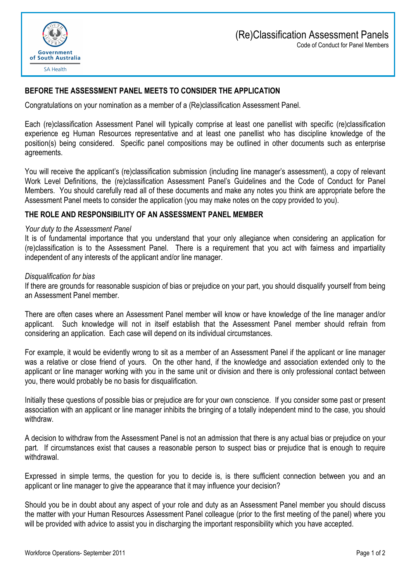

# **BEFORE THE ASSESSMENT PANEL MEETS TO CONSIDER THE APPLICATION**

Congratulations on your nomination as a member of a (Re)classification Assessment Panel.

Each (re)classification Assessment Panel will typically comprise at least one panellist with specific (re)classification experience eg Human Resources representative and at least one panellist who has discipline knowledge of the position(s) being considered. Specific panel compositions may be outlined in other documents such as enterprise agreements.

You will receive the applicant's (re)classification submission (including line manager's assessment), a copy of relevant Work Level Definitions, the (re)classification Assessment Panel's Guidelines and the Code of Conduct for Panel Members. You should carefully read all of these documents and make any notes you think are appropriate before the Assessment Panel meets to consider the application (you may make notes on the copy provided to you).

#### **THE ROLE AND RESPONSIBILITY OF AN ASSESSMENT PANEL MEMBER**

#### *Your duty to the Assessment Panel*

It is of fundamental importance that you understand that your only allegiance when considering an application for (re)classification is to the Assessment Panel. There is a requirement that you act with fairness and impartiality independent of any interests of the applicant and/or line manager.

#### *Disqualification for bias*

If there are grounds for reasonable suspicion of bias or prejudice on your part, you should disqualify yourself from being an Assessment Panel member.

There are often cases where an Assessment Panel member will know or have knowledge of the line manager and/or applicant. Such knowledge will not in itself establish that the Assessment Panel member should refrain from considering an application. Each case will depend on its individual circumstances.

For example, it would be evidently wrong to sit as a member of an Assessment Panel if the applicant or line manager was a relative or close friend of yours. On the other hand, if the knowledge and association extended only to the applicant or line manager working with you in the same unit or division and there is only professional contact between you, there would probably be no basis for disqualification.

Initially these questions of possible bias or prejudice are for your own conscience. If you consider some past or present association with an applicant or line manager inhibits the bringing of a totally independent mind to the case, you should withdraw.

A decision to withdraw from the Assessment Panel is not an admission that there is any actual bias or prejudice on your part. If circumstances exist that causes a reasonable person to suspect bias or prejudice that is enough to require withdrawal.

Expressed in simple terms, the question for you to decide is, is there sufficient connection between you and an applicant or line manager to give the appearance that it may influence your decision?

Should you be in doubt about any aspect of your role and duty as an Assessment Panel member you should discuss the matter with your Human Resources Assessment Panel colleague (prior to the first meeting of the panel) where you will be provided with advice to assist you in discharging the important responsibility which you have accepted.